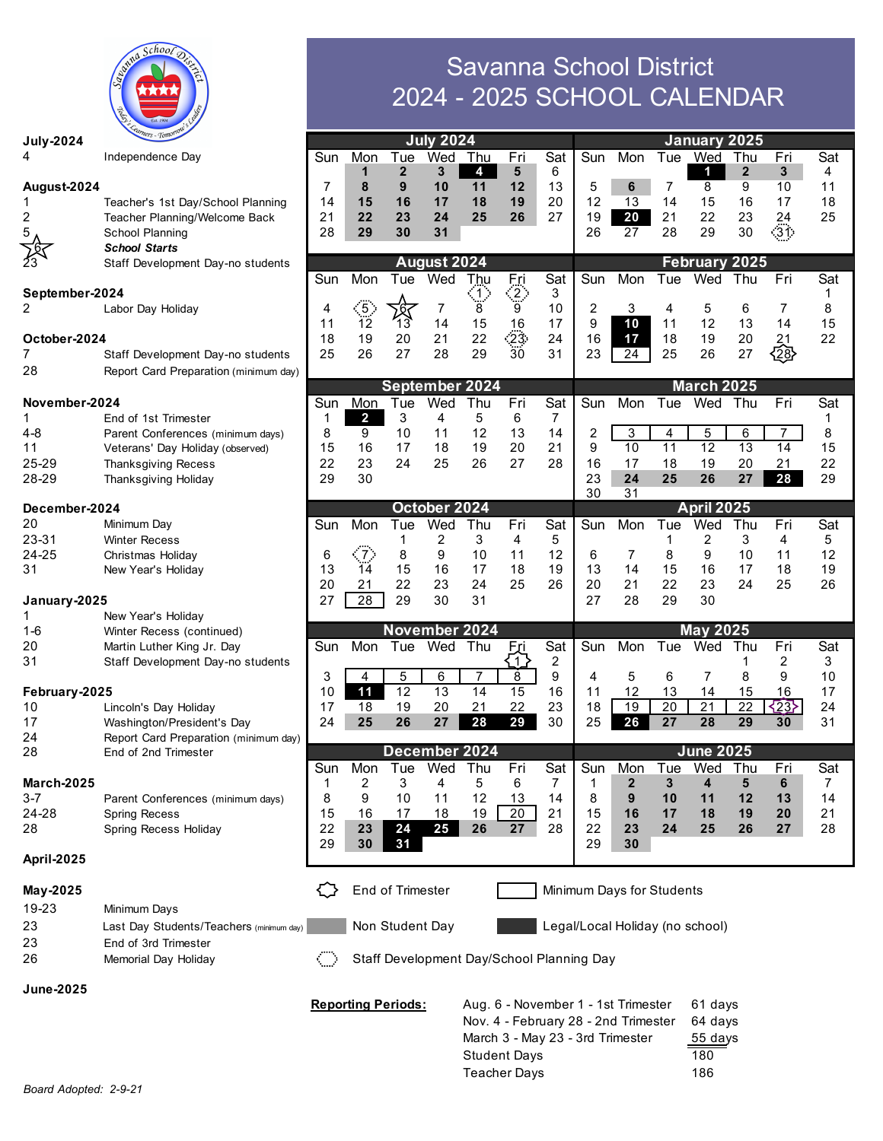

|                     |                                                         |                                           |                     |                      | 2024 - 2025 SCHOOL CALENDAR |                 |                          |                               |          |                                 |              |                   |                 |          |          |
|---------------------|---------------------------------------------------------|-------------------------------------------|---------------------|----------------------|-----------------------------|-----------------|--------------------------|-------------------------------|----------|---------------------------------|--------------|-------------------|-----------------|----------|----------|
| <b>July-2024</b>    |                                                         |                                           |                     |                      | <b>July 2024</b>            |                 |                          |                               |          |                                 | January 2025 |                   |                 |          |          |
|                     | Independence Day                                        | Sun                                       | Mon                 | Tue                  | Wed                         | Thu             | Fri                      | Sat                           | Sun      | Mon                             | Tue          | Wed               | Thu             | Fri      | Sat      |
|                     |                                                         |                                           | 1                   | 2                    | 3                           | 4               | 5                        | 6                             |          |                                 |              | 1                 | $\mathbf{2}$    | 3        | 4        |
| August-2024         |                                                         | 7                                         | 8                   | 9                    | 10                          | 11              | 12                       | 13                            | 5        | 6                               | 7            | 8                 | 9               | 10       | 11       |
|                     | Teacher's 1st Day/School Planning                       | 14<br>21                                  | 15<br>22            | 16<br>23             | 17<br>24                    | 18<br>25        | 19<br>26                 | 20<br>27                      | 12<br>19 | 13<br>20                        | 14<br>21     | 15<br>22          | 16<br>23        | 17<br>24 | 18<br>25 |
| 2<br>5              | Teacher Planning/Welcome Back<br><b>School Planning</b> | 28                                        | 29                  | 30                   | 31                          |                 |                          |                               | 26       | 27                              | 28           | 29                | 30              | 31.      |          |
|                     | <b>School Starts</b>                                    |                                           |                     |                      |                             |                 |                          |                               |          |                                 |              |                   |                 |          |          |
|                     | Staff Development Day-no students                       |                                           |                     |                      | August 2024                 |                 |                          |                               |          |                                 |              | February 2025     |                 |          |          |
|                     |                                                         | Sun                                       | Mon                 | Tue                  | Wed                         | T <u>h</u> u    | Eņi                      | Sat                           | Sun      | Mon                             | Tue          | Wed               | Thu             | Fri      | Sat      |
| September-2024<br>2 | Labor Day Holiday                                       | 4                                         |                     |                      | 7                           | $\ket{1}$<br>8  | $\langle 2 \rangle$<br>9 | 3<br>10                       | 2        | 3                               | 4            | 5                 | 6               | 7        | 1<br>8   |
|                     |                                                         | 11                                        | $\frac{5}{5}$<br>12 | ۰b<br>13             | 14                          | 15              | 16                       | 17                            | 9        | 10                              | 11           | 12                | 13              | 14       | 15       |
| October-2024        |                                                         | 18                                        | 19                  | 20                   | 21                          | 22              | ∙23:                     | 24                            | 16       | 17                              | 18           | 19                | 20              | 21       | 22       |
| 7                   | Staff Development Day-no students                       | 25                                        | 26                  | 27                   | 28                          | 29              | $\overline{30}$          | 31                            | 23       | 24                              | 25           | 26                | 27              | 28       |          |
| 28                  | Report Card Preparation (minimum day)                   |                                           |                     |                      |                             |                 |                          |                               |          |                                 |              |                   |                 |          |          |
| November-2024       |                                                         |                                           |                     | September 2024       |                             |                 |                          |                               |          |                                 |              | <b>March 2025</b> |                 |          |          |
| 1                   | End of 1st Trimester                                    | Sun<br>1                                  | Mon<br>2            | Tue<br>3             | Wed<br>4                    | Thu<br>5        | Fri<br>6                 | Sat<br>7                      | Sun      | Mon                             | Tue          | Wed               | Thu             | Fri      | Sat      |
| 4-8                 | Parent Conferences (minimum days)                       | 8                                         | 9                   | 10                   | 11                          | 12              | 13                       | 14                            | 2        | 3                               | 4            | 5                 | 6               |          | 8        |
| 11                  | Veterans' Day Holiday (observed)                        | 15                                        | 16                  | 17                   | 18                          | 19              | 20                       | 21                            | 9        | 10                              | 11           | 12                | 13              | 14       | 15       |
| 25-29               | <b>Thanksgiving Recess</b>                              | 22                                        | 23                  | 24                   | 25                          | 26              | 27                       | 28                            | 16       | 17                              | 18           | 19                | 20              | 21       | 22       |
| 28-29               | Thanksgiving Holiday                                    | 29                                        | 30                  |                      |                             |                 |                          |                               | 23       | 24                              | 25           | 26                | 27              | 28       | 29       |
| December-2024       |                                                         |                                           |                     |                      | October 2024                |                 |                          | 31<br>30<br><b>April 2025</b> |          |                                 |              |                   |                 |          |          |
| 20                  | Minimum Day                                             | Sun                                       | Mon                 | Tue                  | Wed                         | Thu             | Fri                      | Sat                           | Sun      | Mon                             | Tue          | Wed               | Thu             | Fri      | Sat      |
| 23-31               | <b>Winter Recess</b>                                    |                                           |                     | 1                    | 2                           | 3               | 4                        | 5                             |          |                                 | 1            | 2                 | 3               | 4        | 5        |
| 24-25               | Christmas Holiday                                       | 6                                         | $\sim$ 7 $\sim$     | 8                    | 9                           | 10              | 11                       | 12                            | 6        | 7                               | 8            | 9                 | 10              | 11       | 12       |
| 31                  | New Year's Holiday                                      | 13<br>20                                  | 14<br>21            | 15<br>22             | 16<br>23                    | 17<br>24        | 18<br>25                 | 19<br>26                      | 13<br>20 | 14<br>21                        | 15<br>22     | 16<br>23          | 17<br>24        | 18<br>25 | 19<br>26 |
| January-2025        |                                                         | 27                                        | 28                  | 29                   | 30                          | 31              |                          |                               | 27       | 28                              | 29           | 30                |                 |          |          |
|                     | New Year's Holiday                                      |                                           |                     |                      |                             |                 |                          |                               |          |                                 |              |                   |                 |          |          |
| 1-6                 | Winter Recess (continued)                               |                                           |                     | November 2024        |                             |                 |                          |                               |          |                                 |              | <b>May 2025</b>   |                 |          |          |
| 20                  | Martin Luther King Jr. Day                              | Sun                                       | Mon                 | Tue                  | Wed                         | Thu             | Fri                      | Sat                           | Sun      | Mon                             | Tue          | Wed               | Thu             | Fri      | Sat      |
| 31                  | Staff Development Day-no students                       | 3                                         | 4                   | 5                    | 6                           | 7               | $\overline{1}$<br>8      | 2<br>9                        | 4        | 5                               | 6            | 7                 | 1<br>8          | 2<br>9   | 3<br>10  |
| February-2025       |                                                         | 10                                        | 11                  | 12                   | 13                          | $\overline{14}$ | 15                       | 16                            | 11       | 12                              | 13           | 14                | 15              | 16       | 17       |
| 10                  | Lincoln's Day Holiday                                   | 17                                        | 18                  | 19                   | 20                          | 21              | 22                       | 23                            | 18       | 19                              | 20           | 21                | $\overline{22}$ | $\{23\}$ | 24       |
| 17                  | Washington/President's Day                              | 24                                        | 25                  | 26                   | 27                          | 28              | 29                       | 30                            | 25       | 26                              | 27           | 28                | 29              | 30       | 31       |
| 24                  | Report Card Preparation (minimum day)                   |                                           |                     |                      |                             |                 |                          |                               |          |                                 |              | <b>June 2025</b>  |                 |          |          |
| 28                  | End of 2nd Trimester                                    | Sun                                       | Mon                 | December 2024<br>Tue | Wed                         | Thu             | Fri                      | Sat                           | Sun      | Mon                             | Tue          | Wed               | Thu             | Fri      | Sat      |
| <b>March-2025</b>   |                                                         | 1                                         | 2                   | 3                    | 4                           | 5               | 6                        | 7                             | 1        | $\mathbf{2}$                    | 3            | 4                 | 5               | 6        | 7        |
| $3 - 7$             | Parent Conferences (minimum days)                       | 8                                         | 9                   | 10                   | 11                          | 12              | 13                       | 14                            | 8        | 9                               | 10           | 11                | 12              | 13       | 14       |
| 24-28               | <b>Spring Recess</b>                                    | 15                                        | 16                  | 17                   | 18                          | 19              | 20                       | 21                            | 15       | 16                              | 17           | 18                | 19              | 20       | 21       |
| 28                  | Spring Recess Holiday                                   | 22                                        | 23                  | 24                   | 25                          | 26              | 27                       | 28                            | 22       | 23                              | 24           | 25                | 26              | 27       | 28       |
| April-2025          |                                                         | 29                                        | 30                  | 31                   |                             |                 |                          |                               | 29       | 30                              |              |                   |                 |          |          |
| May-2025            |                                                         |                                           |                     | End of Trimester     |                             |                 |                          |                               |          | Minimum Days for Students       |              |                   |                 |          |          |
| 19-23               | Minimum Days                                            |                                           |                     |                      |                             |                 |                          |                               |          |                                 |              |                   |                 |          |          |
| 23                  | Last Day Students/Teachers (minimum day)                |                                           |                     | Non Student Day      |                             |                 |                          |                               |          | Legal/Local Holiday (no school) |              |                   |                 |          |          |
| 23                  | End of 3rd Trimester                                    |                                           |                     |                      |                             |                 |                          |                               |          |                                 |              |                   |                 |          |          |
| 26                  | Memorial Day Holiday                                    |                                           |                     |                      |                             |                 |                          |                               |          |                                 |              |                   |                 |          |          |
|                     |                                                         | Staff Development Day/School Planning Day |                     |                      |                             |                 |                          |                               |          |                                 |              |                   |                 |          |          |

**Reporting Periods:** Aug. 6 - November 1 - 1st Trimester 61 days

Nov. 4 - February 28 - 2nd Trimester

Savanna School District

March 3 - May 23 - 3rd Trimester 55 days Student Days 180 Teacher Days 186

**June-2025**